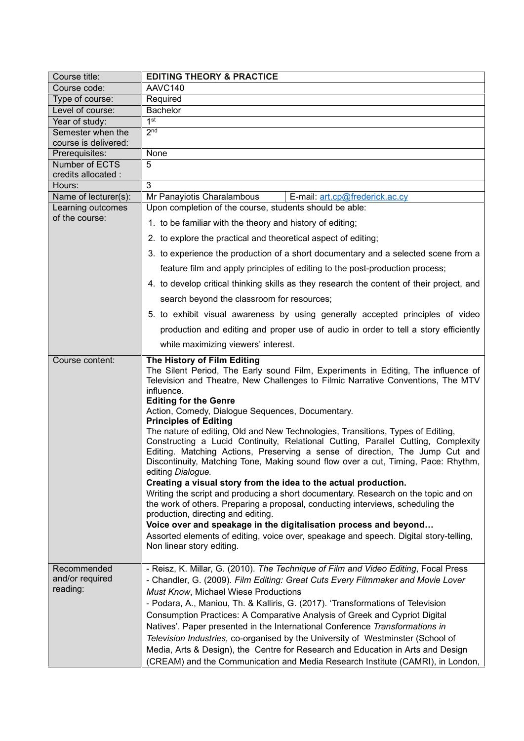| Course title:                              | <b>EDITING THEORY &amp; PRACTICE</b>                                                                                                                                                                                                                                                                                                                                                                                                                                                                                                                                                                                                                                                                                                                                                                                                                                                                                                                                                                                                                                                                                                                                                |
|--------------------------------------------|-------------------------------------------------------------------------------------------------------------------------------------------------------------------------------------------------------------------------------------------------------------------------------------------------------------------------------------------------------------------------------------------------------------------------------------------------------------------------------------------------------------------------------------------------------------------------------------------------------------------------------------------------------------------------------------------------------------------------------------------------------------------------------------------------------------------------------------------------------------------------------------------------------------------------------------------------------------------------------------------------------------------------------------------------------------------------------------------------------------------------------------------------------------------------------------|
| Course code:                               | AAVC140                                                                                                                                                                                                                                                                                                                                                                                                                                                                                                                                                                                                                                                                                                                                                                                                                                                                                                                                                                                                                                                                                                                                                                             |
| Type of course:                            | Required                                                                                                                                                                                                                                                                                                                                                                                                                                                                                                                                                                                                                                                                                                                                                                                                                                                                                                                                                                                                                                                                                                                                                                            |
| Level of course:                           | Bachelor                                                                                                                                                                                                                                                                                                                                                                                                                                                                                                                                                                                                                                                                                                                                                                                                                                                                                                                                                                                                                                                                                                                                                                            |
| Year of study:                             | 1 <sup>st</sup>                                                                                                                                                                                                                                                                                                                                                                                                                                                                                                                                                                                                                                                                                                                                                                                                                                                                                                                                                                                                                                                                                                                                                                     |
| Semester when the<br>course is delivered:  | 2 <sub>nd</sub>                                                                                                                                                                                                                                                                                                                                                                                                                                                                                                                                                                                                                                                                                                                                                                                                                                                                                                                                                                                                                                                                                                                                                                     |
| Prerequisites:                             | None                                                                                                                                                                                                                                                                                                                                                                                                                                                                                                                                                                                                                                                                                                                                                                                                                                                                                                                                                                                                                                                                                                                                                                                |
| Number of ECTS                             | 5                                                                                                                                                                                                                                                                                                                                                                                                                                                                                                                                                                                                                                                                                                                                                                                                                                                                                                                                                                                                                                                                                                                                                                                   |
| credits allocated :<br>Hours:              | 3                                                                                                                                                                                                                                                                                                                                                                                                                                                                                                                                                                                                                                                                                                                                                                                                                                                                                                                                                                                                                                                                                                                                                                                   |
| Name of lecturer(s):                       | Mr Panayiotis Charalambous<br>E-mail: art.cp@frederick.ac.cy                                                                                                                                                                                                                                                                                                                                                                                                                                                                                                                                                                                                                                                                                                                                                                                                                                                                                                                                                                                                                                                                                                                        |
| Learning outcomes                          | Upon completion of the course, students should be able:                                                                                                                                                                                                                                                                                                                                                                                                                                                                                                                                                                                                                                                                                                                                                                                                                                                                                                                                                                                                                                                                                                                             |
| of the course:                             |                                                                                                                                                                                                                                                                                                                                                                                                                                                                                                                                                                                                                                                                                                                                                                                                                                                                                                                                                                                                                                                                                                                                                                                     |
|                                            | 1. to be familiar with the theory and history of editing;                                                                                                                                                                                                                                                                                                                                                                                                                                                                                                                                                                                                                                                                                                                                                                                                                                                                                                                                                                                                                                                                                                                           |
|                                            | 2. to explore the practical and theoretical aspect of editing;                                                                                                                                                                                                                                                                                                                                                                                                                                                                                                                                                                                                                                                                                                                                                                                                                                                                                                                                                                                                                                                                                                                      |
|                                            | 3. to experience the production of a short documentary and a selected scene from a                                                                                                                                                                                                                                                                                                                                                                                                                                                                                                                                                                                                                                                                                                                                                                                                                                                                                                                                                                                                                                                                                                  |
|                                            | feature film and apply principles of editing to the post-production process;                                                                                                                                                                                                                                                                                                                                                                                                                                                                                                                                                                                                                                                                                                                                                                                                                                                                                                                                                                                                                                                                                                        |
|                                            | 4. to develop critical thinking skills as they research the content of their project, and                                                                                                                                                                                                                                                                                                                                                                                                                                                                                                                                                                                                                                                                                                                                                                                                                                                                                                                                                                                                                                                                                           |
|                                            | search beyond the classroom for resources;                                                                                                                                                                                                                                                                                                                                                                                                                                                                                                                                                                                                                                                                                                                                                                                                                                                                                                                                                                                                                                                                                                                                          |
|                                            | 5. to exhibit visual awareness by using generally accepted principles of video                                                                                                                                                                                                                                                                                                                                                                                                                                                                                                                                                                                                                                                                                                                                                                                                                                                                                                                                                                                                                                                                                                      |
|                                            | production and editing and proper use of audio in order to tell a story efficiently                                                                                                                                                                                                                                                                                                                                                                                                                                                                                                                                                                                                                                                                                                                                                                                                                                                                                                                                                                                                                                                                                                 |
|                                            | while maximizing viewers' interest.                                                                                                                                                                                                                                                                                                                                                                                                                                                                                                                                                                                                                                                                                                                                                                                                                                                                                                                                                                                                                                                                                                                                                 |
| Course content:                            | The History of Film Editing<br>The Silent Period, The Early sound Film, Experiments in Editing, The influence of<br>Television and Theatre, New Challenges to Filmic Narrative Conventions, The MTV<br>influence.<br><b>Editing for the Genre</b><br>Action, Comedy, Dialogue Sequences, Documentary.<br><b>Principles of Editing</b><br>The nature of editing, Old and New Technologies, Transitions, Types of Editing,<br>Constructing a Lucid Continuity, Relational Cutting, Parallel Cutting, Complexity<br>Editing. Matching Actions, Preserving a sense of direction, The Jump Cut and<br>Discontinuity, Matching Tone, Making sound flow over a cut, Timing, Pace: Rhythm,<br>editing Dialogue.<br>Creating a visual story from the idea to the actual production.<br>Writing the script and producing a short documentary. Research on the topic and on<br>the work of others. Preparing a proposal, conducting interviews, scheduling the<br>production, directing and editing.<br>Voice over and speakage in the digitalisation process and beyond<br>Assorted elements of editing, voice over, speakage and speech. Digital story-telling,<br>Non linear story editing. |
| Recommended<br>and/or required<br>reading: | - Reisz, K. Millar, G. (2010). The Technique of Film and Video Editing, Focal Press<br>- Chandler, G. (2009). Film Editing: Great Cuts Every Filmmaker and Movie Lover<br>Must Know, Michael Wiese Productions<br>- Podara, A., Maniou, Th. & Kalliris, G. (2017). 'Transformations of Television<br>Consumption Practices: A Comparative Analysis of Greek and Cypriot Digital<br>Natives'. Paper presented in the International Conference Transformations in<br>Television Industries, co-organised by the University of Westminster (School of<br>Media, Arts & Design), the Centre for Research and Education in Arts and Design<br>(CREAM) and the Communication and Media Research Institute (CAMRI), in London,                                                                                                                                                                                                                                                                                                                                                                                                                                                             |